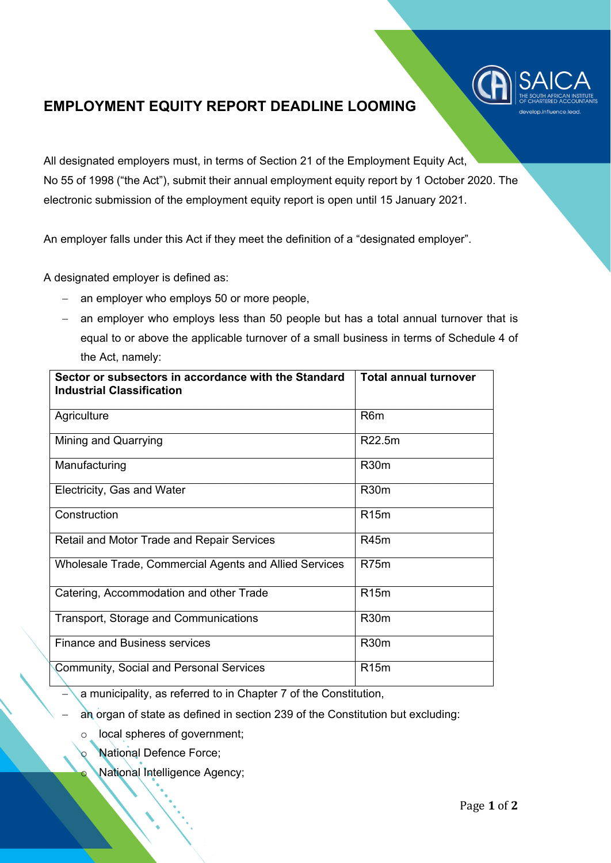

## **EMPLOYMENT EQUITY REPORT DEADLINE LOOMING**

All designated employers must, in terms of Section 21 of the Employment Equity Act, No 55 of 1998 ("the Act"), submit their annual employment equity report by 1 October 2020. The electronic submission of the employment equity report is open until 15 January 2021.

An employer falls under this Act if they meet the definition of a "designated employer".

A designated employer is defined as:

- − an employer who employs 50 or more people,
- − an employer who employs less than 50 people but has a total annual turnover that is equal to or above the applicable turnover of a small business in terms of Schedule 4 of the Act, namely:

| Sector or subsectors in accordance with the Standard<br><b>Industrial Classification</b> | <b>Total annual turnover</b> |
|------------------------------------------------------------------------------------------|------------------------------|
| Agriculture                                                                              | R <sub>6</sub> m             |
| Mining and Quarrying                                                                     | R22.5m                       |
| Manufacturing                                                                            | <b>R30m</b>                  |
| Electricity, Gas and Water                                                               | R <sub>30</sub> m            |
| Construction                                                                             | R <sub>15</sub> m            |
| <b>Retail and Motor Trade and Repair Services</b>                                        | R45m                         |
| Wholesale Trade, Commercial Agents and Allied Services                                   | R75 <sub>m</sub>             |
| Catering, Accommodation and other Trade                                                  | R <sub>15</sub> m            |
| <b>Transport, Storage and Communications</b>                                             | R <sub>30</sub> m            |
| <b>Finance and Business services</b>                                                     | R <sub>30</sub> m            |
| <b>Community, Social and Personal Services</b>                                           | R <sub>15</sub> m            |

a municipality, as referred to in Chapter 7 of the Constitution,

- an organ of state as defined in section 239 of the Constitution but excluding:
	- local spheres of government;
		- **National Defence Force;**
		- National Intelligence Agency;